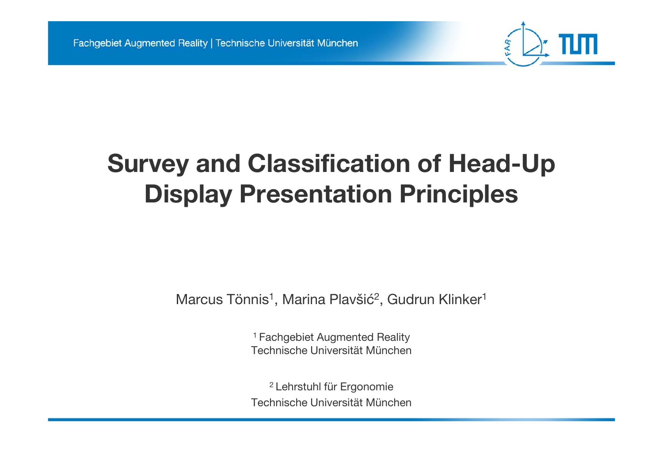

# **Survey and Classification of Head-Up Display Presentation Principles**

Marcus Tönnis<sup>1</sup>, Marina Plavšić<sup>2</sup>, Gudrun Klinker<sup>1</sup>

1 Fachgebiet Augmented Reality Technische Universität München

2 Lehrstuhl für Ergonomie Technische Universität München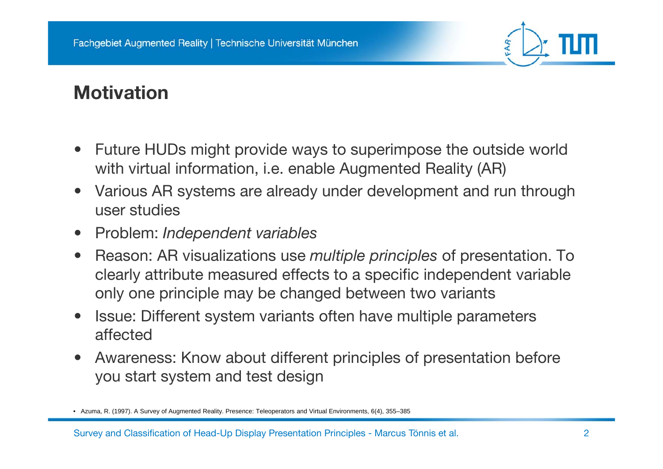

### **Motivation**

- • Future HUDs might provide ways to superimpose the outside world with virtual information, i.e. enable Augmented Reality (AR)
- • Various AR systems are already under development and run through user studies
- $\bullet$ Problem: *Independent variables*
- $\bullet$  Reason: AR visualizations use *multiple principles* of presentation. To clearly attribute measured effects to a specific independent variable only one principle may be changed between two variants
- • Issue: Different system variants often have multiple parameters affected
- • Awareness: Know about different principles of presentation before you start system and test design

<sup>•</sup> Azuma, R. (1997). A Survey of Augmented Reality. Presence: Teleoperators and Virtual Environments, 6(4), 355–385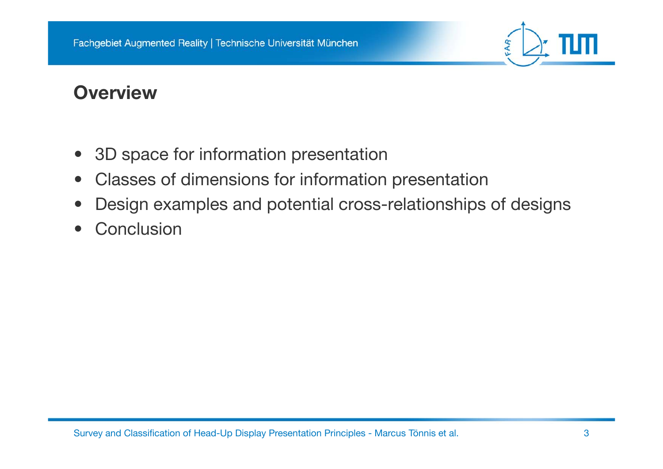

#### **Overview**

- •3D space for information presentation
- $\bullet$ Classes of dimensions for information presentation
- •Design examples and potential cross-relationships of designs
- $\bullet$ **Conclusion**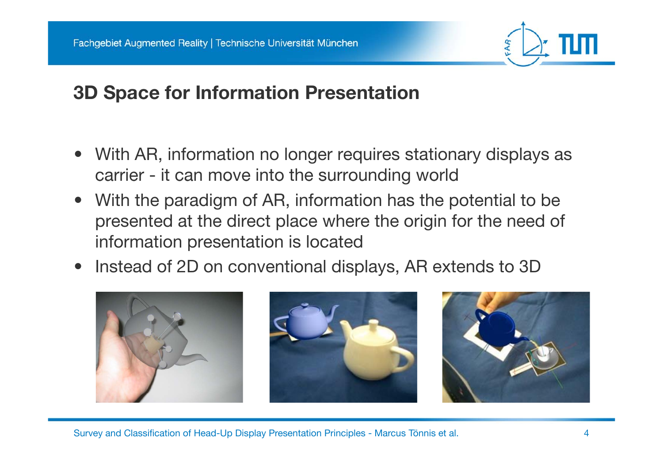

## **3D Space for Information Presentation**

- • With AR, information no longer requires stationary displays as carrier - it can move into the surrounding world
- • With the paradigm of AR, information has the potential to be presented at the direct place where the origin for the need of information presentation is located
- $\bullet$ Instead of 2D on conventional displays, AR extends to 3D



Survey and Classification of Head-Up Display Presentation Principles - Marcus Tönnis et al. 4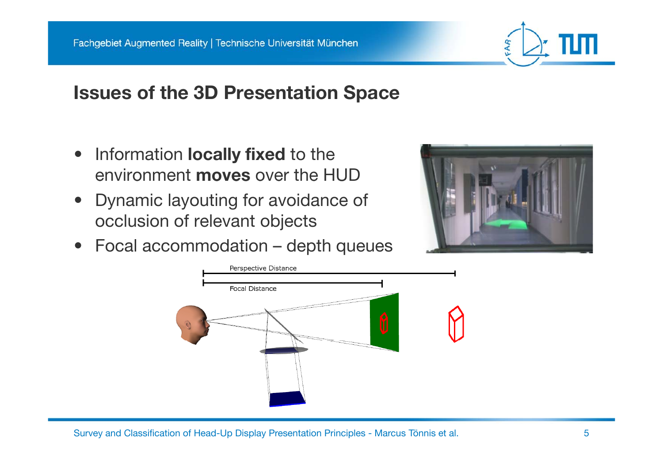#### **Issues of the 3D Presentation Space**

- • Information **locally fixed** to the environment **moves** over the HUD
- • Dynamic layouting for avoidance of occlusion of relevant objects
- •Focal accommodation – depth queues



AR

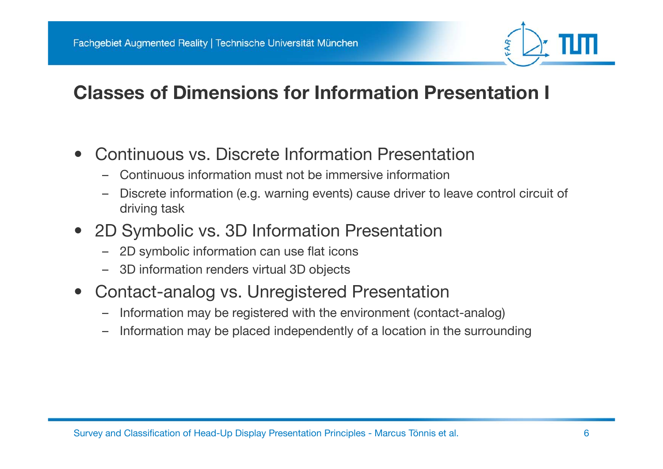## **Classes of Dimensions for Information Presentation I**

- • Continuous vs. Discrete Information Presentation
	- –Continuous information must not be immersive information
	- – Discrete information (e.g. warning events) cause driver to leave control circuit of driving task
- $\bullet$ 2D Symbolic vs. 3D Information Presentation
	- –2D symbolic information can use flat icons
	- 3D information renders virtual 3D objects
- $\bullet$ • Contact-analog vs. Unregistered Presentation
	- –Information may be registered with the environment (contact-analog)
	- –Information may be placed independently of a location in the surrounding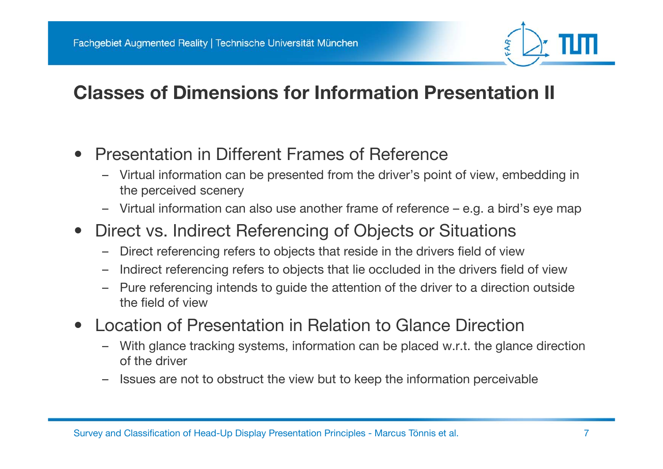## **Classes of Dimensions for Information Presentation II**

- $\bullet$  Presentation in Different Frames of Reference
	- Virtual information can be presented from the driver's point of view, embedding in the perceived scenery
	- Virtual information can also use another frame of reference e.g. a bird's eye map
- •Direct vs. Indirect Referencing of Objects or Situations
	- –Direct referencing refers to objects that reside in the drivers field of view
	- –Indirect referencing refers to objects that lie occluded in the drivers field of view
	- Pure referencing intends to guide the attention of the driver to a direction outside the field of view
- • Location of Presentation in Relation to Glance Direction
	- – With glance tracking systems, information can be placed w.r.t. the glance direction of the driver
	- Issues are not to obstruct the view but to keep the information perceivable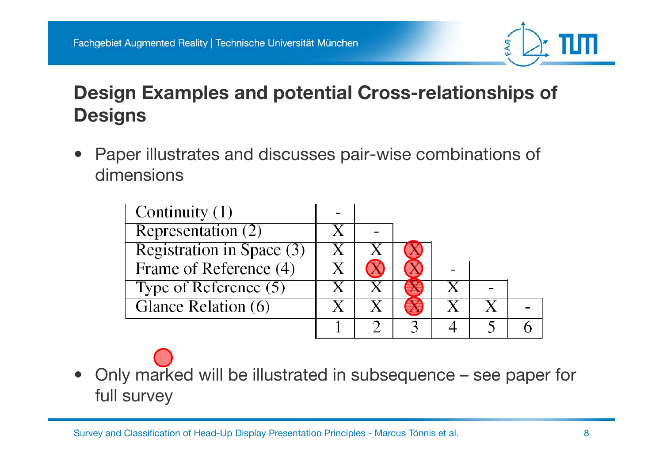

## **Design Examples and potential Cross-relationships of Designs**

• Paper illustrates and discusses pair-wise combinations of dimensions

| Continuity $(1)$          |  |  |  |
|---------------------------|--|--|--|
| Representation $(2)$      |  |  |  |
| Registration in Space (3) |  |  |  |
| Frame of Reference (4)    |  |  |  |
| Type of Reference $(5)$   |  |  |  |
| Glance Relation (6)       |  |  |  |
|                           |  |  |  |

• Only marked will be illustrated in subsequence – see paper for full survey

Survey and Classification of Head-Up Display Presentation Principles - Marcus Tönnis et al. 8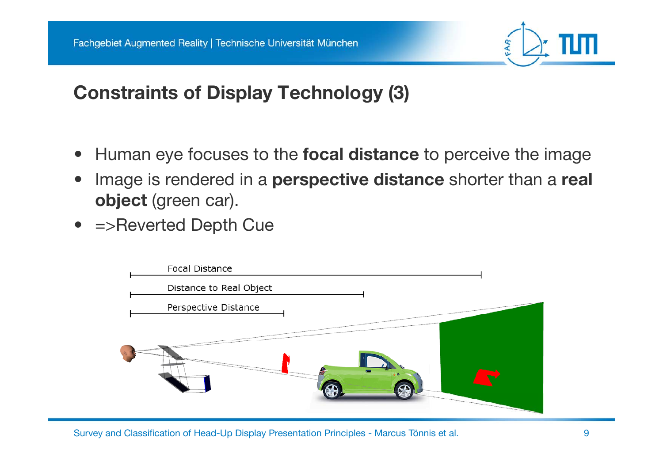

### **Constraints of Display Technology (3)**

- •Human eye focuses to the **focal distance** to perceive the image
- $\bullet$  Image is rendered in a **perspective distance** shorter than a **real object** (green car).
- =>Reverted De pth Cue

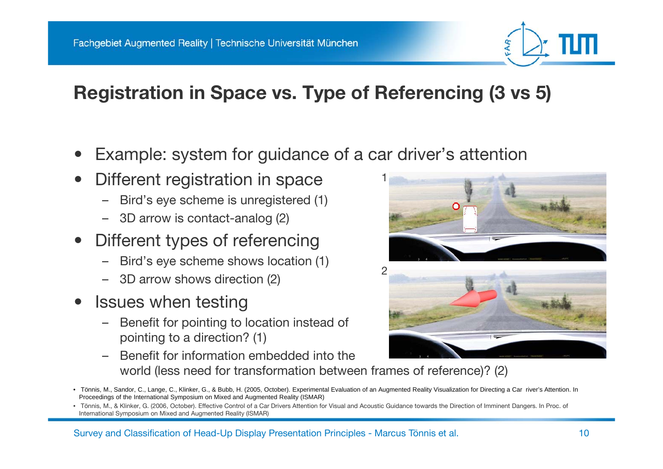# **Registration in Space vs. Type of Referencing (3 vs 5)**

- •Example: system for guidance of a car driver's attention
- $\bullet$ Different registration in space
	- –Bird's eye scheme is unregistered (1)
	- 3D arrow is contact-analog (2)
- Different types of referencing •
	- Bird's eye scheme shows location (1)
	- 3D arrow shows direction (2)
- • Issues when testing
	- – Benefit for pointing to location instead of pointing to a direction? (1)
	- Benefit for information embedded into the world (less need for transformation between frames of reference)? (2)





<sup>•</sup> Tönnis, M., Sandor, C., Lange, C., Klinker, G., & Bubb, H. (2005, October). Experimental Evaluation of an Augmented Reality Visualization for Directing a Car river's Attention. In Proceedings of the International Symposium on Mixed and Augmented Reality (ISMAR)

<sup>•</sup> Tönnis, M., & Klinker, G. (2006, October). Effective Control of a Car Drivers Attention for Visual and Acoustic Guidance towards the Direction of Imminent Dangers. In Proc. of International Symposium on Mixed and Augmented Reality (ISMAR)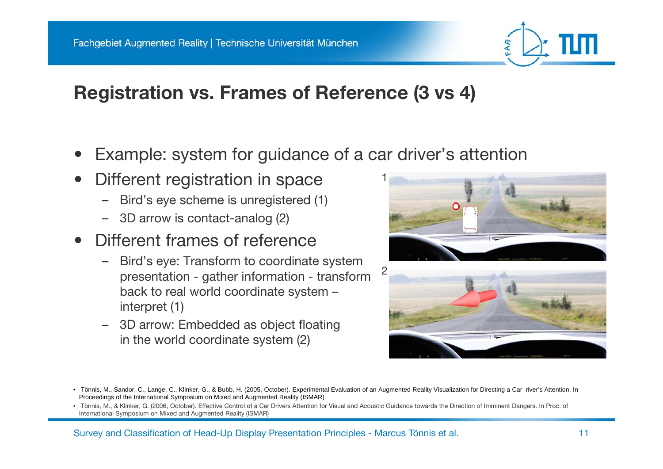

#### **Registration vs. Frames of Reference (3 vs 4)**

- •Example: system for guidance of a car driver's attention
- $\bullet$ Different registration in space
	- –Bird's eye scheme is unregistered (1)
	- 3D arrow is contact-analog (2)
- Different frames of reference •
	- Bird's eye: Transform to coordinate system presentation - gather information - transform back to real world coordinate system – interpret (1)
	- 3D arrow: Embedded as object floating in the world coordinate system (2)





<sup>•</sup> Tönnis, M., Sandor, C., Lange, C., Klinker, G., & Bubb, H. (2005, October). Experimental Evaluation of an Augmented Reality Visualization for Directing a Car river's Attention. In Proceedings of the International Symposium on Mixed and Augmented Reality (ISMAR)

<sup>•</sup> Tönnis, M., & Klinker, G. (2006, October). Effective Control of a Car Drivers Attention for Visual and Acoustic Guidance towards the Direction of Imminent Dangers. In Proc. of International Symposium on Mixed and Augmented Reality (ISMAR)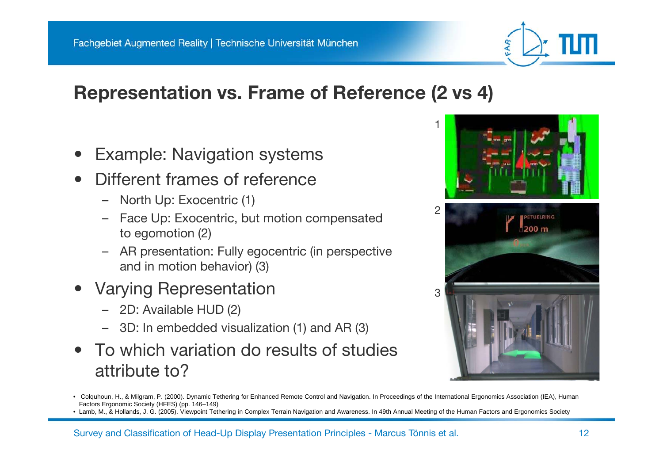#### **Representation vs. Frame of Reference (2 vs 4)**

- •Example: Navigation systems
- $\bullet$  Different frames of reference
	- North Up: Exocentric (1)
	- Face Up: Exocentric, but motion compensated to egomotion (2)
	- AR presentation: Fully egocentric (in perspective and in motion behavior) (3)
- • Varying Representation
	- 2D: Available HUD (2)
	- 3D: In embedded visualization (1) and AR (3)
- • To which variation do results of studiesattribute to?



• Lamb, M., & Hollands, J. G. (2005). Viewpoint Tethering in Complex Terrain Navigation and Awareness. In 49th Annual Meeting of the Human Factors and Ergonomics Society



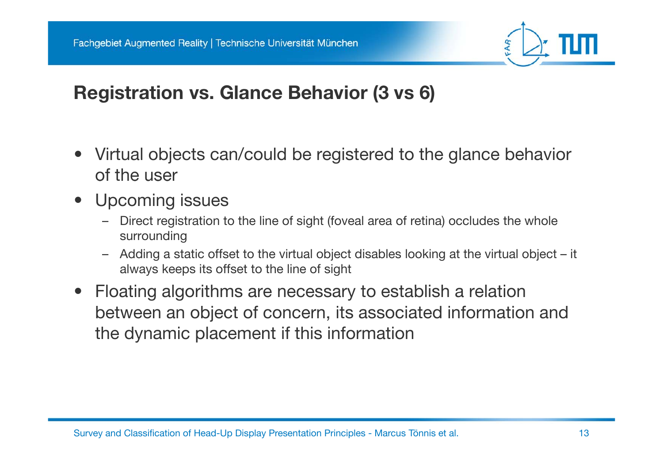

## **Registration vs. Glance Behavior (3 vs 6)**

- • Virtual objects can/could be registered to the glance behavior of the user
- • Upcoming issues
	- – Direct registration to the line of sight (foveal area of retina) occludes the whole surrounding
	- Adding a static offset to the virtual object disables looking at the virtual object it always keeps its offset to the line of sight
- Floating algorithms are necessary to establish a relation between an object of concern, its associated information and the dynamic placement if this information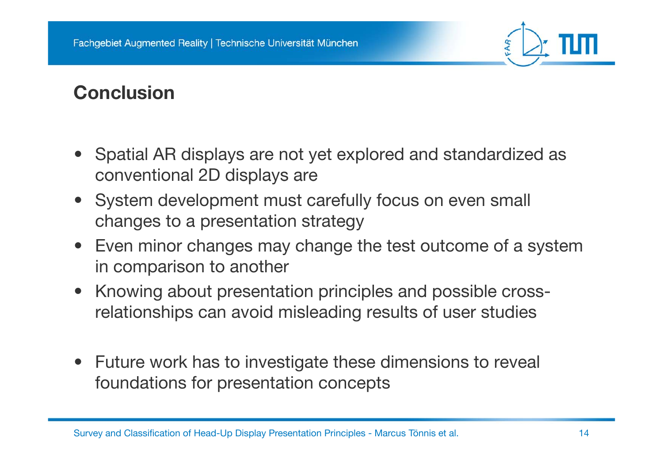

## **Conclusion**

- Spatial AR displays are not yet explored and standardized as conventional 2D displays are
- System development must carefully focus on even small changes to a presentation strategy
- Even minor changes may change the test outcome of a system in comparison to another
- Knowing about presentation principles and possible crossrelationships can avoid misleading results of user studies
- Future work has to investigate these dimensions to reveal foundations for presentation concepts

Survey and Classification of Head-Up Display Presentation Principles - Marcus Tönnis et al. 14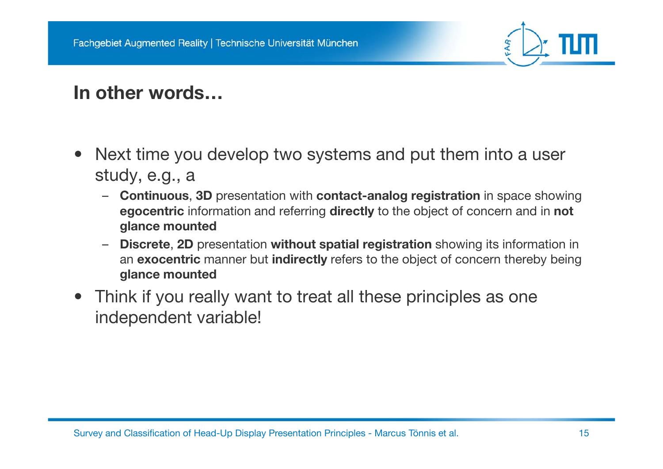

#### **In other words…**

- $\bullet$  Next time you develop two systems and put them into a user study,  $e.g., a$ 
	- **Continuous**, **3D** presentation with **contact-analog registration** in space showing **egocentric** information and referring **directly** to the object of concern and in **not glance mounted**
	- – **Discrete**, **2D** presentation **without spatial registration** showing its information in an **exocentric** manner but **indirectly** refers to the object of concern thereby being **glance mounted**
- Think if you really want to treat all these principles as one independent variable!